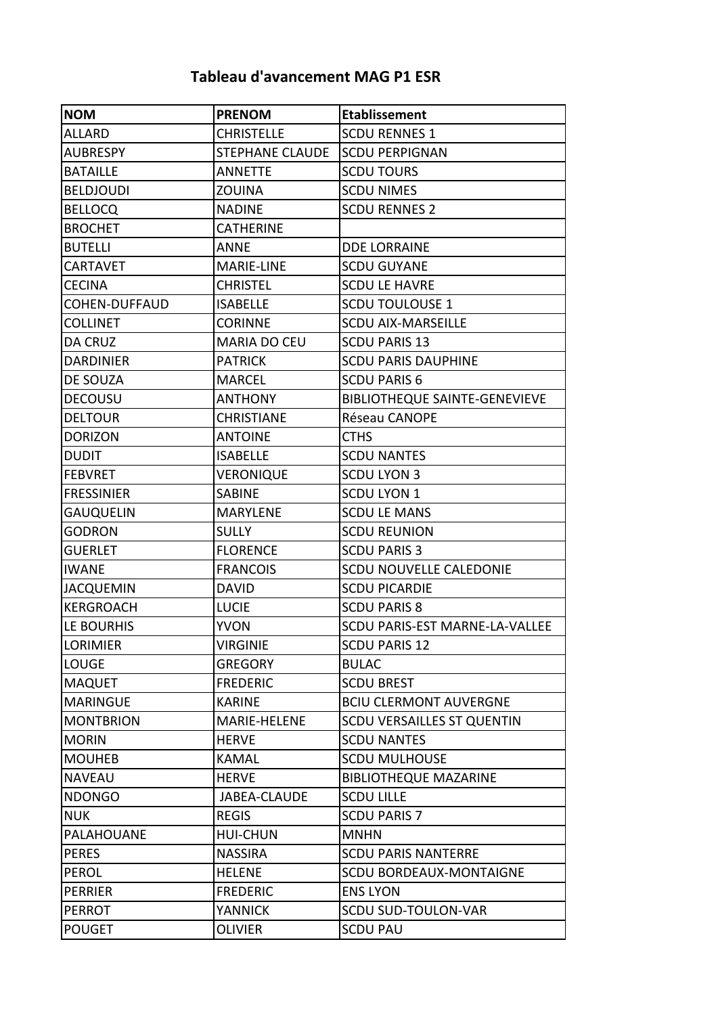## **Tableau d'avancement MAG P1 ESR**

| <b>NOM</b>        | <b>PRENOM</b>          | <b>Etablissement</b>                 |
|-------------------|------------------------|--------------------------------------|
| <b>ALLARD</b>     | <b>CHRISTELLE</b>      | <b>SCDU RENNES 1</b>                 |
| <b>AUBRESPY</b>   | <b>STEPHANE CLAUDE</b> | <b>SCDU PERPIGNAN</b>                |
| <b>BATAILLE</b>   | <b>ANNETTE</b>         | <b>SCDU TOURS</b>                    |
| <b>BELDJOUDI</b>  | <b>ZOUINA</b>          | <b>SCDU NIMES</b>                    |
| <b>BELLOCQ</b>    | <b>NADINE</b>          | <b>SCDU RENNES 2</b>                 |
| <b>BROCHET</b>    | <b>CATHERINE</b>       |                                      |
| <b>BUTELLI</b>    | <b>ANNE</b>            | <b>DDE LORRAINE</b>                  |
| CARTAVET          | <b>MARIE-LINE</b>      | <b>SCDU GUYANE</b>                   |
| <b>CECINA</b>     | <b>CHRISTEL</b>        | <b>SCDU LE HAVRE</b>                 |
| COHEN-DUFFAUD     | <b>ISABELLE</b>        | <b>SCDU TOULOUSE 1</b>               |
| COLLINET          | <b>CORINNE</b>         | <b>SCDU AIX-MARSEILLE</b>            |
| DA CRUZ           | MARIA DO CEU           | <b>SCDU PARIS 13</b>                 |
| <b>DARDINIER</b>  | <b>PATRICK</b>         | <b>SCDU PARIS DAUPHINE</b>           |
| DE SOUZA          | <b>MARCEL</b>          | <b>SCDU PARIS 6</b>                  |
| <b>DECOUSU</b>    | <b>ANTHONY</b>         | <b>BIBLIOTHEQUE SAINTE-GENEVIEVE</b> |
| <b>DELTOUR</b>    | CHRISTIANE             | Réseau CANOPE                        |
| <b>DORIZON</b>    | <b>ANTOINE</b>         | <b>CTHS</b>                          |
| <b>DUDIT</b>      | <b>ISABELLE</b>        | <b>SCDU NANTES</b>                   |
| <b>FEBVRET</b>    | <b>VERONIQUE</b>       | <b>SCDU LYON 3</b>                   |
| <b>FRESSINIER</b> | <b>SABINE</b>          | <b>SCDU LYON 1</b>                   |
| GAUQUELIN         | <b>MARYLENE</b>        | <b>SCDU LE MANS</b>                  |
| <b>GODRON</b>     | <b>SULLY</b>           | <b>SCDU REUNION</b>                  |
| <b>GUERLET</b>    | <b>FLORENCE</b>        | <b>SCDU PARIS 3</b>                  |
| <b>IWANE</b>      | <b>FRANCOIS</b>        | <b>SCDU NOUVELLE CALEDONIE</b>       |
| <b>JACQUEMIN</b>  | <b>DAVID</b>           | <b>SCDU PICARDIE</b>                 |
| <b>KERGROACH</b>  | <b>LUCIE</b>           | <b>SCDU PARIS 8</b>                  |
| LE BOURHIS        | <b>YVON</b>            | SCDU PARIS-EST MARNE-LA-VALLEE       |
| <b>LORIMIER</b>   | <b>VIRGINIE</b>        | <b>SCDU PARIS 12</b>                 |
| <b>LOUGE</b>      | <b>GREGORY</b>         | <b>BULAC</b>                         |
| <b>MAQUET</b>     | <b>FREDERIC</b>        | <b>SCDU BREST</b>                    |
| <b>MARINGUE</b>   | <b>KARINE</b>          | <b>BCIU CLERMONT AUVERGNE</b>        |
| <b>MONTBRION</b>  | MARIE-HELENE           | <b>SCDU VERSAILLES ST QUENTIN</b>    |
| <b>MORIN</b>      | <b>HERVE</b>           | <b>SCDU NANTES</b>                   |
| <b>MOUHEB</b>     | <b>KAMAL</b>           | <b>SCDU MULHOUSE</b>                 |
| <b>NAVEAU</b>     | <b>HERVE</b>           | <b>BIBLIOTHEQUE MAZARINE</b>         |
| <b>NDONGO</b>     | <b>JABEA-CLAUDE</b>    | <b>SCDU LILLE</b>                    |
| <b>NUK</b>        | <b>REGIS</b>           | <b>SCDU PARIS 7</b>                  |
| PALAHOUANE        | <b>HUI-CHUN</b>        | <b>MNHN</b>                          |
| <b>PERES</b>      | <b>NASSIRA</b>         | <b>SCDU PARIS NANTERRE</b>           |
| <b>PEROL</b>      | <b>HELENE</b>          | <b>SCDU BORDEAUX-MONTAIGNE</b>       |
| <b>PERRIER</b>    | <b>FREDERIC</b>        | <b>ENS LYON</b>                      |
| <b>PERROT</b>     | <b>YANNICK</b>         | <b>SCDU SUD-TOULON-VAR</b>           |
| <b>POUGET</b>     | OLIVIER                | <b>SCDU PAU</b>                      |